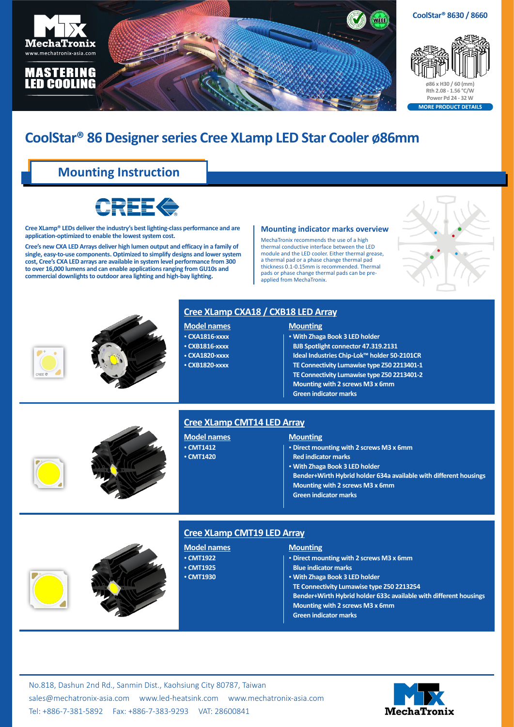

# **CoolStar® 86 Designer series Cree XLamp LED Star Cooler ø86mm**

## **Mounting Instruction**



**Cree XLamp® LEDs deliver the industry's best lighting-class performance and are application-optimized to enable the lowest system cost.** 

**Cree's new CXA LED Arrays deliver high lumen output and efficacy in a family of single, easy-to-use components. Optimized to simplify designs and lower system cost, Cree's CXA LED arrays are available in system level performance from 300 to over 16,000 lumens and can enable applications ranging from GU10s and commercial downlights to outdoor area lighting and high-bay lighting.**

#### **Mounting indicator marks overview**

MechaTronix recommends the use of a high thermal conductive interface between the LED module and the LED cooler. Either thermal grease, a thermal pad or a phase change thermal pad thickness 0.1-0.15mm is recommended. Thermal pads or phase change thermal pads can be preapplied from MechaTronix.





## **Cree XLamp CXA18 / CXB18 LED Array**

### **Model names**

- • **CXA1816-xxxx**
- • **CXB1816-xxxx** • **CXA1820-xxxx**
- 

#### • **CXB1820-xxxx**

- **Mounting** • **With Zhaga Book 3 LED holder**
- **BJB Spotlight connector 47.319.2131**
- **Ideal Industries Chip-Lok™ holder 50-2101CR**
- **TE Connectivity Lumawise type Z50 2213401-1**
- **TE Connectivity Lumawise type Z50 2213401-2**
- **Mounting with 2 screws M3 x 6mm**
- **Green indicator marks**



## **Cree XLamp CMT14 LED Array**

**Model names** • **CMT1412** • **CMT1420**

#### **Mounting**

- • **Direct mounting with 2 screws M3 x 6mm**
- **Red indicator marks**
- • **With Zhaga Book 3 LED holder**
- **Bender+Wirth Hybrid holder 634a available with different housings**
- **Mounting with 2 screws M3 x 6mm**
- **Green indicator marks**





#### **Cree XLamp CMT19 LED Array**

## **Mounting**

| • Direct mounting with 2 screws M3 x 6mm                          |
|-------------------------------------------------------------------|
| <b>Blue indicator marks</b>                                       |
| • With Zhaga Book 3 LED holder                                    |
| TE Connectivity Lumawise type Z50 2213254                         |
| Bender+Wirth Hybrid holder 633c available with different housings |
| Mounting with 2 screws M3 x 6mm                                   |
| <b>Green indicator marks</b>                                      |
|                                                                   |

No.818, Dashun 2nd Rd., Sanmin Dist., Kaohsiung City 80787, Taiwan [sales@mechatronix-asia.com](mailto:sales%40mechatronix-asia.com?subject=) [www.led-heatsink.com](http://www.led-heatsink.com) [www.mechatronix-asia.com](http://www.mechatronix-asia.com) Tel: +886-7-381-5892 Fax: +886-7-383-9293 VAT: 28600841